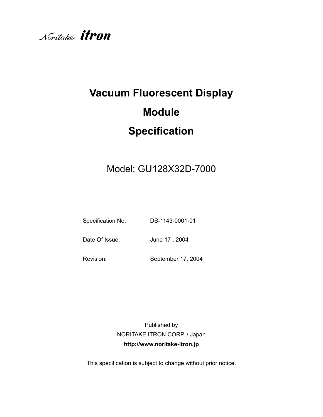

# **Vacuum Fluorescent Display Module Specification**

# Model: GU128X32D-7000

Specification No: DS-1143-0001-01

Date Of Issue: June 17, 2004

Revision: September 17, 2004

Published by NORITAKE ITRON CORP. / Japan **http://www.noritake-itron.jp**

This specification is subject to change without prior notice.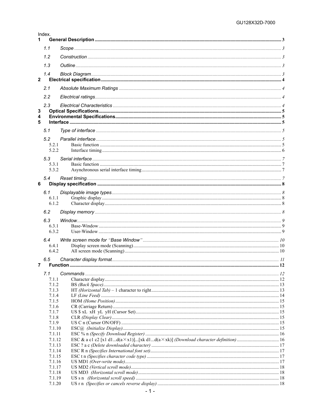|                         | Index.           |  |
|-------------------------|------------------|--|
| 1                       |                  |  |
|                         | 1.1              |  |
|                         | 1.2              |  |
|                         | 1.3              |  |
|                         | 1.4              |  |
| $\overline{\mathbf{2}}$ |                  |  |
|                         | 2.1              |  |
|                         |                  |  |
|                         | 2.2              |  |
|                         | 2.3              |  |
| 3<br>4                  |                  |  |
| 5                       |                  |  |
|                         |                  |  |
|                         | 5.1              |  |
|                         | 5.2              |  |
|                         | 521<br>5.2.2     |  |
|                         |                  |  |
|                         | 5.3<br>5.3.1     |  |
|                         | 5.3.2            |  |
|                         | 5.4              |  |
| 6                       |                  |  |
|                         | 6.1              |  |
|                         | 6.1.1            |  |
|                         | 6.1.2            |  |
|                         | 6.2              |  |
|                         | 6.3              |  |
|                         | 6.3.1            |  |
|                         | 6.3.2            |  |
|                         | 6.4              |  |
|                         | 6.4.1            |  |
|                         | 6.4.2            |  |
|                         | 6.5              |  |
| 7                       |                  |  |
|                         | 7.1              |  |
|                         | 7.1.1            |  |
|                         | 7.1.2<br>7.1.3   |  |
|                         | 7.1.4            |  |
|                         | 7.1.5            |  |
|                         | 7.1.6<br>7.1.7   |  |
|                         | 7.1.8            |  |
|                         | 7.1.9            |  |
|                         | 7.1.10           |  |
|                         | 7.1.11<br>7.1.12 |  |
|                         | 7.1.13           |  |
|                         | 7.1.14           |  |
|                         | 7.1.15           |  |
|                         | 7.1.16<br>7.1.17 |  |
|                         | 7.1.18           |  |
|                         | 7.1.19           |  |
|                         | 7.1.20           |  |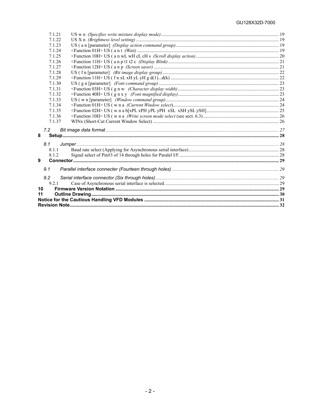| 7.1.21 |  |
|--------|--|
| 7.1.22 |  |
| 7.1.23 |  |
| 7.1.24 |  |
| 7.1.25 |  |
| 7.1.26 |  |
| 7.1.27 |  |
| 7.1.28 |  |
| 7.1.29 |  |
| 7.1.30 |  |
| 7.1.31 |  |
| 7.1.32 |  |
| 7.1.33 |  |
| 7.1.34 |  |
| 7.1.35 |  |
| 7.1.36 |  |
| 7.1.37 |  |
| 7.2    |  |
| 8      |  |
| 8.1    |  |
| 8.1.1  |  |
| 8.1.2  |  |
| 9      |  |
| 9.1    |  |
| 9.2    |  |
| 9.2.1  |  |
| 10     |  |
| 11     |  |
|        |  |
|        |  |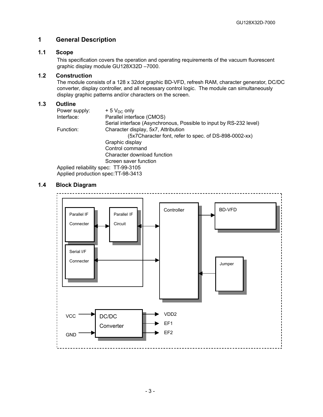# <span id="page-3-0"></span>**1 General Description**

# **1.1 Scope**

<span id="page-3-1"></span>This specification covers the operation and operating requirements of the vacuum fluorescent graphic display module GU128X32D –7000.

# **1.2 Construction**

<span id="page-3-2"></span>The module consists of a 128 x 32dot graphic BD-VFD, refresh RAM, character generator, DC/DC converter, display controller, and all necessary control logic. The module can simultaneously display graphic patterns and/or characters on the screen.

# **1.3 Outline**

<span id="page-3-3"></span>

| $+5$ V <sub>DC</sub> only                                          |
|--------------------------------------------------------------------|
| Parallel interface (CMOS)                                          |
| Serial interface (Asynchronous, Possible to input by RS-232 level) |
| Character display, 5x7, Attribution                                |
| (5x7Character font, refer to spec. of DS-898-0002-xx)              |
| Graphic display                                                    |
| Control command                                                    |
| Character download function                                        |
| Screen saver function                                              |
| Applied reliability spec: TT-99-3105                               |
|                                                                    |

Applied production spec:TT-98-3413

# **1.4 Block Diagram**

<span id="page-3-4"></span>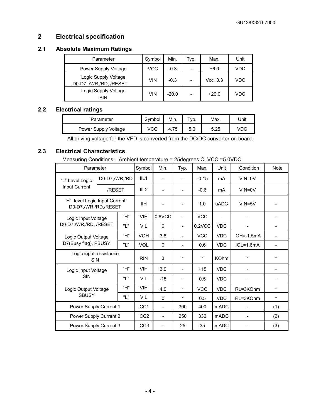# <span id="page-4-0"></span>**2 Electrical specification**

# **2.1 Absolute Maximum Ratings**

<span id="page-4-2"></span><span id="page-4-1"></span>

| Parameter                                      | Symbol     | Min.    | Typ. | Max.      | Unit |
|------------------------------------------------|------------|---------|------|-----------|------|
| Power Supply Voltage                           | VCC        | $-0.3$  |      | $+6.0$    | VDC  |
| Logic Supply Voltage<br>D0-D7, /WR,/RD, /RESET | VIN        | $-0.3$  |      | $Vcc+0.3$ | VDC  |
| Logic Supply Voltage<br><b>SIN</b>             | <b>VIN</b> | $-20.0$ |      | $+20.0$   | VDC  |

# **2.2 Electrical ratings**

| Parameter            | Symbol | Min. | $\tau_{VD}$ . | Max. | Unit |
|----------------------|--------|------|---------------|------|------|
| Power Supply Voltage | vcc    | 4.75 | 5.0           | 5.25 |      |

All driving voltage for the VFD is converted from the DC/DC converter on board.

# **2.3 Electrical Characteristics**

<span id="page-4-3"></span>Measuring Conditions: Ambient temperature = 25degrees C, VCC =5.0VDC

| Parameter                                             |                         |      | Symbol           | Min.                     | Typ.                     | Max.       | Unit        | Condition    | <b>Note</b> |
|-------------------------------------------------------|-------------------------|------|------------------|--------------------------|--------------------------|------------|-------------|--------------|-------------|
| "L" Level Logic                                       | D0-D7,/WR,/RD<br>/RESET |      | III <sub>1</sub> |                          |                          | $-0.15$    | mA          | $VIN = 0V$   |             |
| Input Current                                         |                         |      | III <sub>2</sub> |                          |                          | $-0.6$     | mA          | $VIN = 0V$   |             |
| "H" level Logic Input Current<br>D0-D7,/WR,/RD,/RESET |                         |      | <b>IIH</b>       |                          |                          | 1.0        | <b>uADC</b> | $VIN = 5V$   |             |
| Logic Input Voltage                                   |                         | "H"  | <b>VIH</b>       | $0.8$ VCC                | $\overline{\phantom{a}}$ | <b>VCC</b> |             |              |             |
| D0-D7,/WR,/RD, /RESET                                 |                         | "ו " | VIL              | $\mathbf{0}$             |                          | 0.2VCC     | <b>VDC</b>  |              |             |
| Logic Output Voltage                                  | "H"                     |      | <b>VOH</b>       | 3.8                      | $\overline{\phantom{a}}$ | <b>VCC</b> | <b>VDC</b>  | $IOH=-1.5mA$ |             |
| D7(Busy flag), PBUSY                                  |                         | "ו " | <b>VOL</b>       | $\Omega$                 |                          | 0.6        | <b>VDC</b>  | $IOL=1.6mA$  |             |
| Logic input resistance<br><b>SIN</b>                  |                         |      | <b>RIN</b>       | 3                        |                          |            | <b>KOhm</b> |              |             |
| Logic Input Voltage                                   |                         | "H"  | <b>VIH</b>       | 3.0                      |                          | $+15$      | <b>VDC</b>  |              |             |
| <b>SIN</b>                                            |                         | "ו " | <b>VIL</b>       | $-15$                    |                          | 0.5        | <b>VDC</b>  |              |             |
|                                                       | Logic Output Voltage    |      | <b>VIH</b>       | 4.0                      |                          | <b>VCC</b> | <b>VDC</b>  | RL=3KOhm     |             |
| <b>SBUSY</b>                                          |                         | "ו " | VIL              | $\Omega$                 |                          | 0.5        | <b>VDC</b>  | RL=3KOhm     |             |
| Power Supply Current 1                                |                         |      | ICC1             |                          | 300                      | 400        | <b>mADC</b> |              | (1)         |
| Power Supply Current 2                                |                         |      | ICC <sub>2</sub> | $\overline{\phantom{a}}$ | 250                      | 330        | <b>mADC</b> |              | (2)         |
| Power Supply Current 3                                |                         |      | ICC <sub>3</sub> | $\overline{\phantom{0}}$ | 25                       | 35         | <b>mADC</b> |              | (3)         |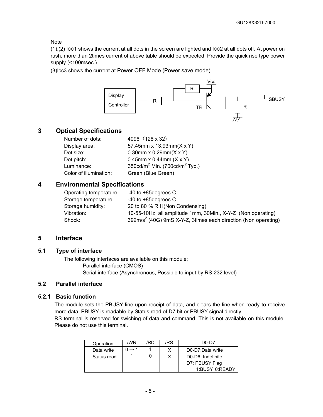Note

(1),(2) ICC1 shows the current at all dots in the screen are lighted and ICC2 at all dots off. At power on rush, more than 2times current of above table should be expected. Provide the quick rise type power supply (<100msec.).

(3)Icc3 shows the current at Power OFF Mode (Power save mode).



# **3 Optical Specifications**

<span id="page-5-0"></span>

| Number of dots:        | 4096 (128 x 32)                                       |
|------------------------|-------------------------------------------------------|
| Display area:          | 57.45mm x 13.93mm(X x Y)                              |
| Dot size:              | 0.30mm x 0.29mm( $X$ x Y)                             |
| Dot pitch:             | 0.45mm x 0.44mm $(X \times Y)$                        |
| Luminance:             | 350cd/m <sup>2</sup> Min. (700cd/m <sup>2</sup> Typ.) |
| Color of illumination: | Green (Blue Green)                                    |
|                        |                                                       |

# **4 Environmental Specifications**

<span id="page-5-1"></span>

| $-40$ to $+85$ degrees C                                         |
|------------------------------------------------------------------|
| $-40$ to $+85$ degrees C                                         |
| 20 to 80 % R.H(Non Condensing)                                   |
| 10-55-10Hz, all amplitude 1mm, 30Min., X-Y-Z (Non operating)     |
| $392m/s2$ (40G) 9mS X-Y-Z, 3times each direction (Non operating) |
|                                                                  |

# <span id="page-5-2"></span>**5 Interface**

# **5.1 Type of interface**

<span id="page-5-3"></span>The following interfaces are available on this module; Parallel interface (CMOS) Serial interface (Asynchronous, Possible to input by RS-232 level)

# <span id="page-5-4"></span>**5.2 Parallel interface**

#### **5.2.1 Basic function**

<span id="page-5-5"></span>The module sets the PBUSY line upon receipt of data, and clears the line when ready to receive more data. PBUSY is readable by Status read of D7 bit or PBUSY signal directly. RS terminal is reserved for swiching of data and command. This is not available on this module. Please do not use this terminal.

| Operation   | /WR | /RD | /RS | $D0-D7$           |
|-------------|-----|-----|-----|-------------------|
| Data write  |     |     |     | D0-D7:Data write  |
| Status read |     |     |     | D0-D6: Indefinite |
|             |     |     |     | D7: PBUSY Flag    |
|             |     |     |     | 1:BUSY, 0:READY   |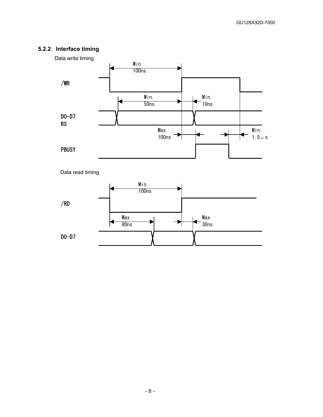# **5.2.2 Interface timing**

<span id="page-6-0"></span>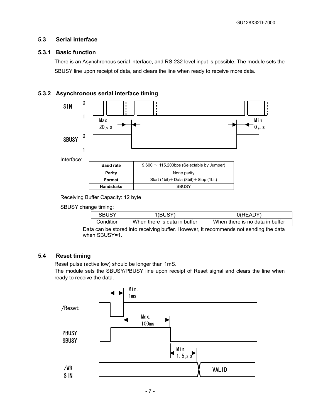# <span id="page-7-0"></span>**5.3 Serial interface**

# **5.3.1 Basic function**

<span id="page-7-1"></span>There is an Asynchronous serial interface, and RS-232 level input is possible. The module sets the SBUSY line upon receipt of data, and clears the line when ready to receive more data.

# **5.3.2 Asynchronous serial interface timing**

<span id="page-7-2"></span>

Receiving Buffer Capacity: 12 byte

SBUSY change timing:

| <b>SBUSY</b><br>1(BUSY)                                                              |                              | 0(READY)                        |  |  |  |  |
|--------------------------------------------------------------------------------------|------------------------------|---------------------------------|--|--|--|--|
| Condition                                                                            | When there is data in buffer | When there is no data in buffer |  |  |  |  |
| the san he stared into resolving buffer. However, it recommends not conding the data |                              |                                 |  |  |  |  |

Data can be stored into receiving buffer. However, it recommends not sending the data when SBUSY=1.

# **5.4 Reset timing**

<span id="page-7-3"></span>Reset pulse (active low) should be longer than 1mS.

The module sets the SBUSY/PBUSY line upon receipt of Reset signal and clears the line when ready to receive the data.

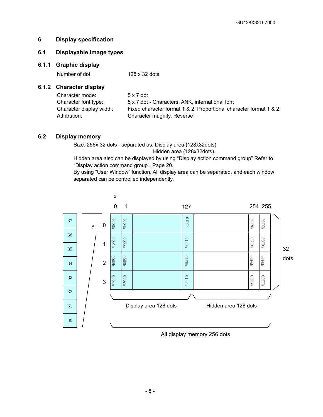# <span id="page-8-0"></span>**6 Display specification**

# <span id="page-8-1"></span>**6.1 Displayable image types**

# **6.1.1 Graphic display**

<span id="page-8-2"></span>Number of dot: 128 x 32 dots

# **6.1.2 Character display**

<span id="page-8-3"></span>

| Character mode:          | 5 x 7 dot                                                          |
|--------------------------|--------------------------------------------------------------------|
| Character font type:     | 5 x 7 dot - Characters, ANK, international font                    |
| Character display width: | Fixed character format 1 & 2, Proportional character format 1 & 2. |
| Attribution:             | Character magnify, Reverse                                         |

# <span id="page-8-4"></span>**6.2 Display memory**

Size: 256x 32 dots - separated as: Display area (128x32dots) Hidden area (128x32dots).

Hidden area also can be displayed by using "Display action command group" Refer to "Display action command group", Page 20.

By using "User Window" function, All display area can be separated, and each window separated can be controlled independently.



All display memory 256 dots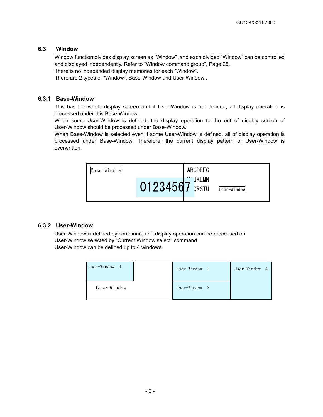# **6.3 Window**

<span id="page-9-0"></span>Window function divides display screen as "Window" ,and each divided "Window" can be controlled and displayed independently. Refer to "Window command group", Page 25.

There is no independed display memories for each "Window".

There are 2 types of "Window", Base-Window and User-Window .

#### **6.3.1 Base-Window**

<span id="page-9-1"></span>This has the whole display screen and if User-Window is not defined, all display operation is processed under this Base-Window.

When some User-Window is defined, the display operation to the out of display screen of User-Window should be processed under Base-Window.

When Base-Window is selected even if some User-Window is defined, all of display operation is processed under Base-Window. Therefore, the current display pattern of User-Window is overwritten.



#### **6.3.2 User-Window**

<span id="page-9-2"></span>User-Window is defined by command, and display operation can be processed on User-Window selected by "Current Window select" command. User-Window can be defined up to 4 windows.

| User-Window |  | User-Window 2 |     | User-Window | $\sim$ 4 |
|-------------|--|---------------|-----|-------------|----------|
| Base-Window |  | User-Window   | - 3 |             |          |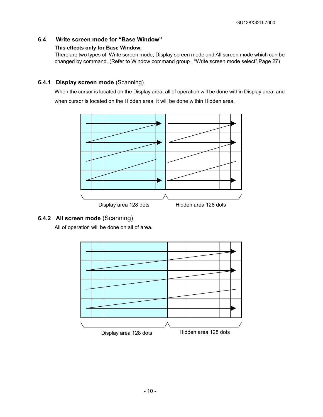# **6.4 Write screen mode for "Base Window"**

# <span id="page-10-0"></span>**This effects only for Base Window.**

There are two types of Write screen mode, Display screen mode and All screen mode which can be changed by command. (Refer to Window command group , "Write screen mode select",Page 27)

# **6.4.1 Display screen mode** (Scanning)

<span id="page-10-1"></span>When the cursor is located on the Display area, all of operation will be done within Display area, and when cursor is located on the Hidden area, it will be done within Hidden area.



# **6.4.2 All screen mode** (Scanning)

<span id="page-10-2"></span>All of operation will be done on all of area.

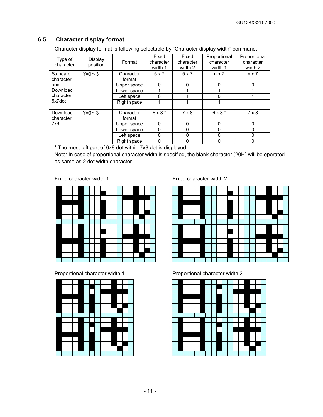# **6.5 Character display format**

<span id="page-11-0"></span>Character display format is following selectable by "Character display width" command.

| Type of<br>character  | Display<br>position | Format              | Fixed<br>character<br>width 1 | Fixed<br>character<br>width 2 | Proportional<br>character<br>width 1 | Proportional<br>character<br>width 2 |
|-----------------------|---------------------|---------------------|-------------------------------|-------------------------------|--------------------------------------|--------------------------------------|
| Standard<br>character | $Y=0\sim3$          | Character<br>format | 5x7                           | 5x7                           | $n \times 7$                         | $n \times 7$                         |
| and                   |                     | Upper space         | U                             | 0                             | 0                                    | $\Omega$                             |
| Download              |                     | Lower space         |                               |                               |                                      |                                      |
| character             |                     | Left space          | N                             |                               | U                                    |                                      |
| 5x7dot                |                     | Right space         |                               |                               |                                      |                                      |
| Download<br>character | $Y=0\sim3$          | Character<br>format | $6 \times 8$ *                | $7 \times 8$                  | $6 \times 8$ *                       | $7 \times 8$                         |
| 7x8                   |                     | Upper space         | $\Omega$                      | $\Omega$                      | $\Omega$                             | $\Omega$                             |
|                       |                     | Lower space         | 0                             | 0                             | 0                                    | 0                                    |
|                       |                     | Left space          | 0                             | 0                             | 0                                    | 0                                    |
|                       |                     | Right space         | 0                             | 0                             | 0                                    |                                      |

\* The most left part of 6x8 dot within 7x8 dot is displayed.

Note: In case of proportional character width is specified, the blank character (20H) will be operated as same as 2 dot width character.





Fixed character width 1 Fixed character width 2



Proportional character width 1 Proportional character width 2

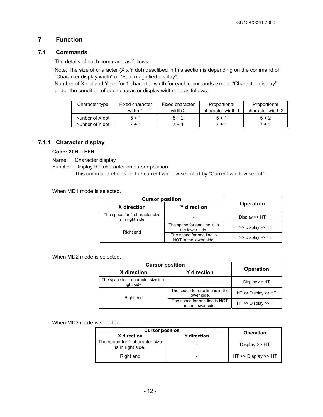# <span id="page-12-0"></span>**7 Function**

# **7.1 Commands**

<span id="page-12-1"></span>The details of each command as follows;

Note: The size of character (X x Y dot) desclibed in this section is depending on the command of "Character display width" or "Font magnified display".

Number of X dot and Y dot for 1 character width for each commands except "Character display" under the condition of each character display width are as follows;

| Character type  | Fixed character | Fixed character | Proportional      | Proportional      |
|-----------------|-----------------|-----------------|-------------------|-------------------|
|                 | width 1         | width 2         | character width 1 | character width 2 |
| Nunber of X dot | 5 + 1           | $5 + 2$         | $5+1$             | $5 + 2$           |
| Nunber of Y dot | 7 + 1           | 7 + 1           | 7 + 1             | 7 + 1             |

# **7.1.1 Character display**

#### <span id="page-12-2"></span>**Code: 20H – FFH**

Name: Character display

Function: Display the character on cursor position.

This command effects on the current window selected by "Current window select".

When MD1 mode is selected.

| <b>Cursor position</b>                              |                                                     |                     |  |
|-----------------------------------------------------|-----------------------------------------------------|---------------------|--|
| X direction                                         | <b>Y</b> direction                                  | <b>Operation</b>    |  |
| The space for 1 character size<br>is in right side. |                                                     | Display $>>$ HT     |  |
| Right end                                           | The space for one line is in<br>the lower side.     | HT >> Display >> HT |  |
|                                                     | The space for one line is<br>NOT in the lower side. | HT >> Display >> HT |  |

When MD2 mode is selected.

| <b>Cursor position</b>                              |                                                     |                     |  |
|-----------------------------------------------------|-----------------------------------------------------|---------------------|--|
| X direction                                         | <b>Y</b> direction                                  | <b>Operation</b>    |  |
| The space for 1 character size is in<br>right side. |                                                     | Display >> HT       |  |
| Right end                                           | The space for one line is in the<br>lower side.     | HT >> Display >> HT |  |
|                                                     | The space for one line is NOT<br>in the lower side. | HT >> Display >> HT |  |

When MD3 mode is selected.

| <b>Cursor position</b>                              | <b>Operation</b>   |                     |
|-----------------------------------------------------|--------------------|---------------------|
| X direction                                         | <b>Y</b> direction |                     |
| The space for 1 character size<br>is in right side. |                    | Display $\gt$ HT    |
| Right end                                           |                    | HT >> Display >> HT |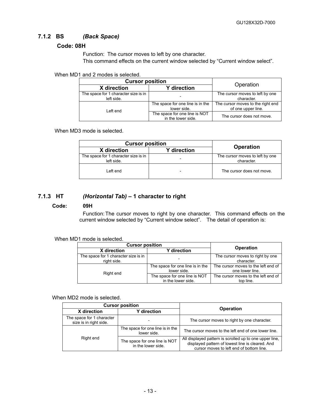# **7.1.2 BS** *(Back Space)*

# <span id="page-13-0"></span>**Code: 08H**

Function: The cursor moves to left by one character.

This command effects on the current window selected by "Current window select".

When MD1 and 2 modes is selected.

| <b>Cursor position</b>                             | Operation                                           |                                                         |
|----------------------------------------------------|-----------------------------------------------------|---------------------------------------------------------|
| X direction                                        | <b>Y</b> direction                                  |                                                         |
| The space for 1 character size is in<br>left side. |                                                     | The cursor moves to left by one<br>character.           |
| Left end                                           | The space for one line is in the<br>lower side.     | The cursor moves to the right end<br>of one upper line. |
|                                                    | The space for one line is NOT<br>in the lower side. | The cursor does not move.                               |

When MD3 mode is selected.

| <b>Cursor position</b>                             |                          |                                               |
|----------------------------------------------------|--------------------------|-----------------------------------------------|
| X direction                                        | <b>Y</b> direction       | <b>Operation</b>                              |
| The space for 1 character size is in<br>left side. |                          | The cursor moves to left by one<br>character. |
| Left end                                           | $\overline{\phantom{a}}$ | The cursor does not move.                     |

# **7.1.3 HT** *(Horizontal Tab)* **– 1 character to right**

#### <span id="page-13-1"></span>**Code: 09H**

Function: The cursor moves to right by one character. This command effects on the current window selected by "Current window select". The detail of operation is:

# When MD1 mode is selected.

| <b>Cursor position</b>                              | <b>Operation</b>                                    |                                                        |
|-----------------------------------------------------|-----------------------------------------------------|--------------------------------------------------------|
| X direction                                         | <b>Y</b> direction                                  |                                                        |
| The space for 1 character size is in<br>right side. |                                                     | The cursor moves to right by one<br>character.         |
| Right end                                           | The space for one line is in the<br>lower side.     | The cursor moves to the left end of<br>one lower line. |
|                                                     | The space for one line is NOT<br>in the lower side. | The cursor moves to the left end of<br>top line.       |

When MD2 mode is selected.

|                                                     | <b>Cursor position</b>                              |                                                                                                                                                         |  |
|-----------------------------------------------------|-----------------------------------------------------|---------------------------------------------------------------------------------------------------------------------------------------------------------|--|
| X direction<br><b>Y</b> direction                   |                                                     | <b>Operation</b>                                                                                                                                        |  |
| The space for 1 character<br>size is in right side. |                                                     | The cursor moves to right by one character.                                                                                                             |  |
|                                                     | The space for one line is in the<br>lower side.     | The cursor moves to the left end of one lower line.                                                                                                     |  |
| Right end                                           | The space for one line is NOT<br>in the lower side. | All displayed pattern is scrolled up to one upper line,<br>displayed pattern of lowest line is cleared. And<br>cursor moves to left end of bottom line. |  |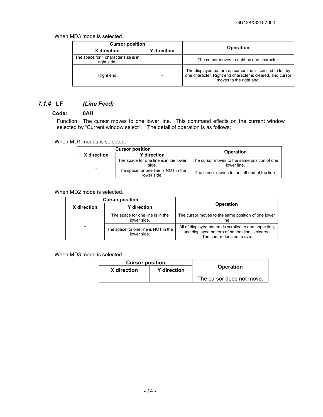When MD3 mode is selected.

| <b>Cursor position</b>                              |                          |                                                                                                                                                     |
|-----------------------------------------------------|--------------------------|-----------------------------------------------------------------------------------------------------------------------------------------------------|
| X direction<br><b>Y</b> direction                   |                          | <b>Operation</b>                                                                                                                                    |
| The space for 1 character size is in<br>right side. | $\overline{\phantom{0}}$ | The cursor moves to right by one character.                                                                                                         |
| Right end                                           | $\overline{\phantom{0}}$ | The displayed pattern on cursor line is scrolled to left by<br>one character, Right end character is cleared, and cursor<br>moves to the right end. |

# *7.1.4* **LF** *(Line Feed)*

#### <span id="page-14-0"></span>**Code: 0AH**

Function: The cursor moves to one lower line. This command effects on the current window selected by "Current window select". The detail of operation is as follows;

When MD1 modes is selected.

| <b>Cursor position</b> |                                                     | <b>Operation</b>                                            |  |
|------------------------|-----------------------------------------------------|-------------------------------------------------------------|--|
| X direction            | <b>Y</b> direction                                  |                                                             |  |
|                        | The space for one line is in the lower<br>side.     | The cursor moves to the same position of one<br>lower line. |  |
| -                      | The space for one line is NOT in the<br>lower side. | The cursor moves to the left end of top line.               |  |

When MD2 mode is selected.

|             | <b>Cursor position</b>                              |                                                                                                                                          |  |
|-------------|-----------------------------------------------------|------------------------------------------------------------------------------------------------------------------------------------------|--|
| X direction | <b>Y</b> direction                                  | <b>Operation</b>                                                                                                                         |  |
|             | The space for one line is in the<br>lower side.     | The cursor moves to the same position of one lower<br>line.                                                                              |  |
|             | The space for one line is NOT in the<br>lower side. | All of displayed pattern is scrolled to one upper line,<br>and displayed pattern of bottom line is cleared.<br>The cursor does not move. |  |

When MD3 mode is selected.

| <b>Cursor position</b> |                    |                           |
|------------------------|--------------------|---------------------------|
| X direction            | <b>Y</b> direction | <b>Operation</b>          |
| -                      | $\qquad \qquad$    | The cursor does not move. |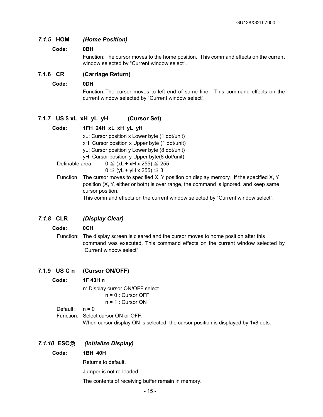# *7.1.5* **HOM** *(Home Position)*

#### <span id="page-15-0"></span>**Code: 0BH**

Function: The cursor moves to the home position. This command effects on the current window selected by "Current window select".

#### **7.1.6 CR (Carriage Return)**

#### <span id="page-15-1"></span>**Code: 0DH**

Function: The cursor moves to left end of same line. This command effects on the current window selected by "Current window select".

# **7.1.7 US \$ xL xH yL yH (Cursor Set)**

#### <span id="page-15-2"></span>**Code: 1FH 24H xL xH yL yH**

xL: Cursor position x Lower byte (1 dot/unit)

xH: Cursor position x Upper byte (1 dot/unit)

yL: Cursor position y Lower byte (8 dot/unit)

yH: Cursor position y Upper byte(8 dot/unit)

Definable area:  $0 \leq (xL + xH + 255) \leq 255$ 

- $0 \leq (yL + yH \times 255) \leq 3$
- Function: The cursor moves to specified X, Y position on display memory. If the specified X, Y position (X, Y, either or both) is over range, the command is ignored, and keep same cursor position.

This command effects on the current window selected by "Current window select".

#### *7.1.8* **CLR** *(Display Clear)*

#### <span id="page-15-3"></span>**Code: 0CH**

Function: The display screen is cleared and the cursor moves to home position after this command was executed. This command effects on the current window selected by "Current window select".

#### **7.1.9 US C n (Cursor ON/OFF)**

#### <span id="page-15-4"></span>**Code: 1F 43H n**

 n: Display cursor ON/OFF select n = 0 : Cursor OFF

 $n = 1$  : Cursor ON

Default:  $n = 0$ 

Function: Select cursor ON or OFF.

When cursor display ON is selected, the cursor position is displayed by 1x8 dots.

#### *7.1.10* **ESC@** *(Initialize Display)*

#### <span id="page-15-5"></span>**Code: 1BH 40H**

Returns to default.

Jumper is not re-loaded.

The contents of receiving buffer remain in memory.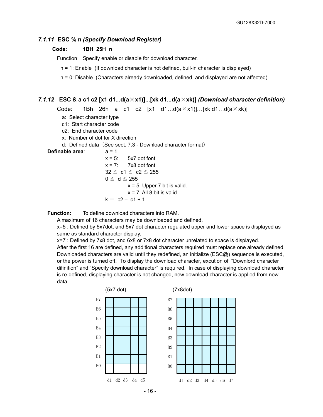#### *7.1.11* **ESC % n** *(Specify Download Register)*

#### <span id="page-16-0"></span>**Code: 1BH 25H n**

Function: Specify enable or disable for download character.

n = 1: Enable (If download character is not defined, buil-in character is displayed)

n = 0: Disable (Characters already downloaded, defined, and displayed are not affected)

#### *7.1.12* **ESC & a c1 c2 [x1 d1...d(a**×**x1)]...[xk d1...d(a**×**xk)]** *(Download character definition)*

<span id="page-16-1"></span>Code: 1Bh 26h a c1 c2  $[x1 \ d1...d(a \times x1)]...[xk d1...d(a \times xk)]$ 

a: Select character type

c1: Start character code

- c2: End character code
- x: Number of dot for X direction
- d: Defined data (See sect. 7.3 Download character format)

**Definable area**: a = 1

 $x = 5$ :  $5x7$  dot font  $x = 7$ : 7x8 dot font  $32 \leq c1 \leq c2 \leq 255$  $0 \leq d \leq 255$  $x = 5$ : Upper 7 bit is valid.  $x = 7$ : All 8 bit is valid.  $k = c2 - c1 + 1$ 

**Function:** To define download characters into RAM.

A maximum of 16 characters may be downloaded and defined.

x=5 : Defined by 5x7dot, and 5x7 dot character regulated upper and lower space is displayed as same as standard character display.

x=7 : Defined by 7x8 dot, and 6x8 or 7x8 dot character unrelated to space is displayed.

After the first 16 are defined, any additional characters required must replace one already defined. Downloaded characters are valid until they redefined, an initialize (ESC@) sequence is executed, or the power is turned off. To display the download character, excution of "Downlord character difinition" and "Specify download character" is required. In case of displaying download character is re-defined, displaying character is not changed, new download character is applied from new data.

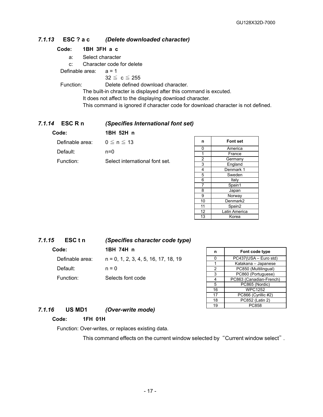# *7.1.13* **ESC ? a c** *(Delete downloaded character)*

#### <span id="page-17-0"></span>**Code: 1BH 3FH a c**

a: Select character

c: Character code for delete

Definable area: a = 1

 $32 \leq c \leq 255$ 

Function: Delete defined download character.

The built-in chracter is displayed after this command is excuted.

It does not affect to the displaying download character.

This command is ignored if character code for download character is not defined.

#### *7.1.14* **ESC R n** *(Specifies International font set)*

<span id="page-17-1"></span>

| Code:           | 1BH 52H n                      |
|-----------------|--------------------------------|
| Definable area: | $0 \le n \le 13$               |
| Default:        | $n=0$                          |
| Function:       | Select international font set. |

| n              | <b>Font set</b> |
|----------------|-----------------|
| 0              | America         |
| 1              | France          |
| $\overline{c}$ | Germany         |
| 3              | England         |
| 4              | Denmark 1       |
| 5              | Sweden          |
| 6              | Italy           |
| 7              | Spain1          |
| 8              | Japan           |
| 9              | Norway          |
| 10             | Denmark2        |
| 11             | Spain2          |
| 12             | Latin America   |
| 13             | Korea           |

# *7.1.15* **ESC t n** *(Specifies character code type)*  **Code: 1BH 74H n**

<span id="page-17-2"></span>Definable area: n = 0, 1, 2, 3, 4, 5, 16, 17, 18, 19 Default:  $n = 0$ Function: Selects font code

| n  | Font code type          |
|----|-------------------------|
| ი  | PC437(USA - Euro std)   |
|    | Katakana - Japanese     |
| 2  | PC850 (Multilingual)    |
| 3  | PC860 (Portuguese)      |
| 4  | PC863 (Canadian-French) |
| 5  | PC865 (Nordic)          |
| 16 | <b>WPC1252</b>          |
| 17 | PC866 (Cyrillic #2)     |
| 18 | PC852 (Latin 2)         |
| 19 | PC858                   |

# *7.1.16* **US MD1** *(Over-write mode)*

# <span id="page-17-3"></span>**Code: 1FH 01H**

Function: Over-writes, or replaces existing data.

This command effects on the current window selected by "Current window select".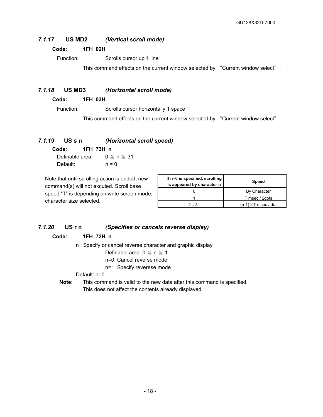# *7.1.17* **US MD2** *(Vertical scroll mode)*

#### <span id="page-18-0"></span>**Code: 1FH 02H**

Function: Scrolls cursor up 1 line

This command effects on the current window selected by "Current window select".

# *7.1.18* **US MD3** *(Horizontal scroll mode)*

<span id="page-18-1"></span>**Code: 1FH 03H** 

Function: Scrolls cursor horizontally 1 space

This command effects on the current window selected by "Current window select".

# *7.1.19* **US s n** *(Horizontal scroll speed)*

<span id="page-18-2"></span>**Code: 1FH 73H n** 

Definable area:  $0 \le n \le 31$ Default:  $n = 0$ 

Note that until scrolling action is ended, new command(s) will not excuted. Scroll base speed "T" is depending on write screen mode, character size selected.

| If n=0 is specified, scrolling<br>is appeared by character n | Speed                       |
|--------------------------------------------------------------|-----------------------------|
|                                                              | <b>By Character</b>         |
|                                                              | T msec / 2dots              |
| $2 - 31$                                                     | $(n-1) \times T$ msec / dot |

# *7.1.20* **US r n** *(Specifies or cancels reverse display)*

# <span id="page-18-3"></span>**Code: 1FH 72H n**

n : Specify or cancel reverse character and graphic display

Definable area:  $0 \le n \le 1$ 

n=0: Cancel reverse mode

n=1: Specify reverese mode

#### Default: n=0

**Note**: This command is valid to the new data after this command is specified. This does not affect the contents already displayed.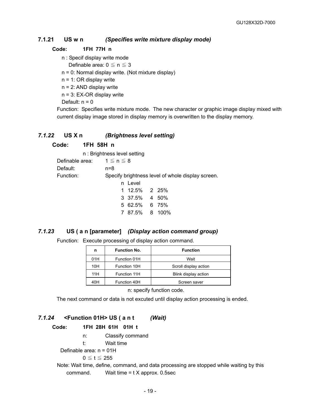# **7.1.21 US w n** *(Specifies write mixture display mode)*

#### <span id="page-19-0"></span>**Code: 1FH 77H n**

n : Specif display write mode

Definable area:  $0 \le n \le 3$ 

n = 0: Normal display write. (Not mixture display)

n = 1: OR display write

n = 2: AND display write

n = 3: EX-OR display write

Default:  $n = 0$ 

Function: Specifies write mixture mode. The new character or graphic image display mixed with current display image stored in display memory is overwritten to the display memory.

#### *7.1.22* **US X n** *(Brightness level setting)*

<span id="page-19-1"></span>**Code: 1FH 58H n** 

|                                 | n: Brightness level setting                       |  |
|---------------------------------|---------------------------------------------------|--|
| Definable area: $1 \le n \le 8$ |                                                   |  |
| Default:                        | n=8                                               |  |
| Function:                       | Specify brightness level of whole display screen. |  |
|                                 | n Level                                           |  |
|                                 | 1 12.5% 2 25%                                     |  |
|                                 | 3 37.5% 4 50%                                     |  |
|                                 | 5 62.5% 6 75%                                     |  |
|                                 | 7 87.5% 8 100%                                    |  |

# *7.1.23* **US ( a n [parameter]** *(Display action command group)*

<span id="page-19-2"></span>Function: Execute processing of display action command.

| n   | <b>Function No.</b> | <b>Function</b>       |
|-----|---------------------|-----------------------|
| 01H | Function 01H        | Wait                  |
| 10H | Function 10H        | Scroll display action |
| 11H | Function 11H        | Blink display action  |
| 40H | Function 40H        | Screen saver          |

n: specify function code.

<span id="page-19-3"></span>The next command or data is not excuted until display action processing is ended.

# *7.1.24* **<Function 01H> US ( a n t** *(Wait)*

#### **Code: 1FH 28H 61H 01H t**

- n: Classify command
- t: Wait time

Definable area: n = 01H

 $0 \le t \le 255$ 

Note: Wait time, define, command, and data processing are stopped while waiting by this command. Wait time = t X approx. 0.5sec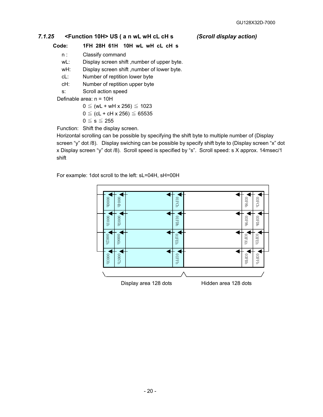# *7.1.25* **<Function 10H> US ( a n wL wH cL cH s** *(Scroll display action)*

<span id="page-20-0"></span>**Code: 1FH 28H 61H 10H wL wH cL cH s** 

- n : Classify command
- wL: Display screen shift, number of upper byte.
- wH: Display screen shift ,number of lower byte.
- cL: Number of reptition lower byte
- cH: Number of reptition upper byte

s: Scroll action speed

Definable area: n = 10H

$$
0 \leq (wL + wH \times 256) \leq 1023
$$

$$
0 \leq (cL + cH \times 256) \leq 65535
$$

 $0 \leq s \leq 255$ 

Function: Shift the display screen.

Horizontal scrolling can be possible by specifying the shift byte to multiple number of (Display screen "y" dot /8). Display swiching can be possible by specify shift byte to (Display screen "x" dot x Display screen "y" dot /8). Scroll speed is specified by "s". Scroll speed: s X approx. 14msec/1 shift

For example: 1dot scroll to the left: sL=04H, sH=00H

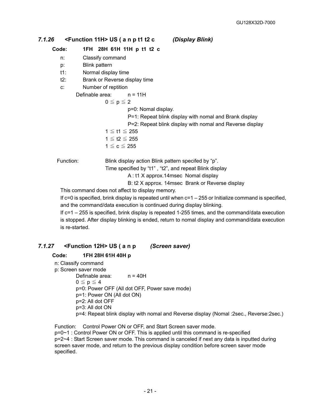# *7.1.26* **<Function 11H> US ( a n p t1 t2 c** *(Display Blink)*

# <span id="page-21-0"></span>**Code: 1FH 28H 61H 11H p t1 t2 c**

- n: Classify command
- p: Blink pattern
- t1: Normal display time
- t2: Brank or Reverse display time
- c: Number of reptition

Definable area: n = 11H

 $0 \leq p \leq 2$ 

p=0: Nomal display.

P=1: Repeat blink display with nomal and Brank display

- P=2: Repeat blink display with nomal and Reverse display
- 1 ≦ t1 ≦ 255
- $1 \le t2 \le 255$  $1 \leq c \leq 255$
- 

Function: Blink display action Blink pattern specifed by "p".

Time specified by "t1" , "t2", and repeat Blink display

A : t1 X approx.14msec Nomal display

B: t2 X approx. 14msec Brank or Reverse display

This command does not affect to display memory.

If  $c=0$  is specified, brink display is repeated until when  $c=1-255$  or Initialize command is specified, and the command/data execution is continued during display blinking.

If c=1 – 255 is specified, brink display is repeated 1-255 times, and the command/data execution is stopped. After display blinking is ended, return to nomal display and command/data execution is re-started.

# *7.1.27* **<Function 12H> US ( a n p** *(Screen saver)*

# <span id="page-21-1"></span>**Code: 1FH 28H 61H 40H p**

- n: Classify command
- p: Screen saver mode

Definable area: n = 40H

 $0 \leq p \leq 4$ 

p=0: Power OFF (All dot OFF, Power save mode)

- p=1: Power ON (All dot ON)
- p=2: All dot OFF
- p=3: All dot ON

p=4: Repeat blink display with nomal and Reverse display (Nomal :2sec., Reverse:2sec.)

Function: Control Power ON or OFF, and Start Screen saver mode. p=0~1 : Control Power ON or OFF. This is applied until this command is re-specified p=2~4 : Start Screen saver mode. This command is canceled if next any data is inputted during screen saver mode, and return to the previous display condition before screen saver mode specified.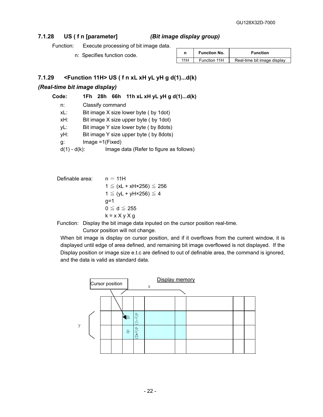# **7.1.28 US ( f n [parameter]** *(Bit image display group)*

<span id="page-22-0"></span>Function: Execute processing of bit image data.

<span id="page-22-1"></span>n: Specifies function code.

| n   | <b>Function No.</b> | <b>Function</b>             |
|-----|---------------------|-----------------------------|
| 11H | Function 11H        | Real-time bit image display |

# **7.1.29 <Function 11H> US ( f n xL xH yL yH g d(1)...d(k)**

# *(Real-time bit image display)*

| Code: |  |  |  | 1Fh $28h$ 66h 11h xL xH yL yH g d(1)d(k) |
|-------|--|--|--|------------------------------------------|
|-------|--|--|--|------------------------------------------|

| n:              | Classify command                        |
|-----------------|-----------------------------------------|
| xL:             | Bit image X size lower byte (by 1dot)   |
| xH:             | Bit image X size upper byte (by 1dot)   |
| vL:             | Bit image Y size lower byte (by 8dots)  |
| yΗ:             | Bit image Y size upper byte (by 8dots)  |
| g:              | $Image = 1(Fixed)$                      |
| $d(1) - d(k)$ : | Image data (Refer to figure as follows) |

Definable area:

\n
$$
n = 11H
$$
\n
$$
1 \leq (xL + xH \times 256) \leq 256
$$
\n
$$
1 \leq (yL + yH \times 256) \leq 4
$$
\n
$$
g=1
$$
\n
$$
0 \leq d \leq 255
$$
\n
$$
k = x \times y \times g
$$

Function: Display the bit image data inputed on the cursor position real-time.

Cursor position will not change.

When bit image is display on cursor position, and if it overflows from the current window, it is displayed until edge of area defined, and remaining bit image overflowed is not displayed. If the Display position or image size e.t.c are defined to out of definable area, the command is ignored, and the data is valid as standard data.

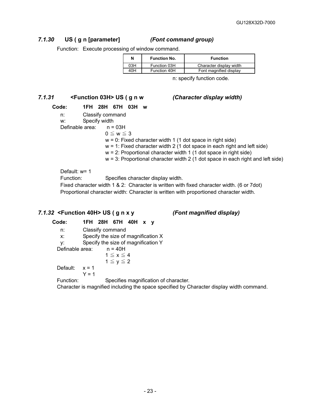# *7.1.30* **US ( g n [parameter]** *(Font command group)*

<span id="page-23-0"></span>Function: Execute processing of window command.

| N   | <b>Function No.</b> | <b>Function</b>         |
|-----|---------------------|-------------------------|
| 03H | Function 03H        | Character display width |
| 40H | Function 40H        | Font magnified display  |

n: specify function code.

# *7.1.31* **<Function 03H> US ( g n w** *(Character display width)*

# **Code: 1FH 28H 67H 03H w**

- <span id="page-23-1"></span>n: Classify command
- w: Specify width
- Definable area: n = 03H
	- $0 \leq w \leq 3$ 
		- $w = 0$ : Fixed character width 1 (1 dot space in right side)
		- $w = 1$ : Fixed character width 2 (1 dot space in each right and left side)
		- $w = 2$ : Proportional character width 1 (1 dot space in right side)
		- $w = 3$ : Proportional character width 2 (1 dot space in each right and left side)

Default: w= 1

Function: Specifies character display width.

Fixed character width 1 & 2: Character is written with fixed character width. (6 or 7dot) Proportional character width: Character is written with proportioned character width.

# *7.1.32* **<Function 40H> US ( g n x y** *(Font magnified display)*

#### <span id="page-23-2"></span>**Code: 1FH 28H 67H 40H x y**  n: Classify command x: Specify the size of magnification X y: Specify the size of magnification Y Definable area: n = 40H  $1 \le x \le 4$  $1 \leq y \leq 2$ Default:  $x = 1$  $Y = 1$ Function: Specifies magnification of character.

Character is magnified including the space specified by Character display width command.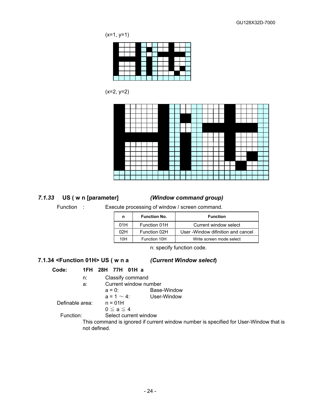$(x=1, y=1)$ 



(x=2, y=2)



# *7.1.33* **US ( w n [parameter]** *(Window command group)*

<span id="page-24-0"></span>Function : Execute processing of window / screen command.

| n   | <b>Function No.</b> | <b>Function</b>                     |
|-----|---------------------|-------------------------------------|
| 01H | Function 01H        | Current window select               |
| 02H | Function 02H        | User - Window difinition and cancel |
| 10H | Function 10H        | Write screen mode select            |

n: specify function code.

# **7.1.34 <Function 01H> US ( w n a** *(Current Window select***)**

#### <span id="page-24-1"></span>**Code: 1FH 28H 77H 01H a**

- n: Classify command
	- a: Current window number
- a = 0: Base-Window  $a = 1 \sim 4$ : User-Window Definable area: n = 01H

```
0 \leq a \leq 4
```
Function: Select current window

This command is ignored if current window number is specified for User-Window that is not defined.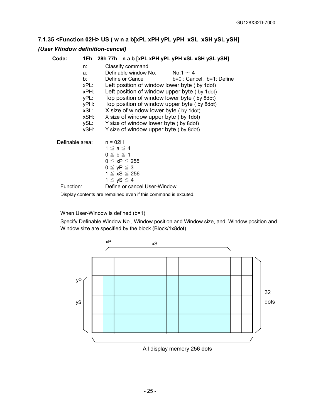# <span id="page-25-0"></span>**7.1.35 <Function 02H> US ( w n a b[xPL xPH yPL yPH xSL xSH ySL ySH]**  *(User Window definition-cancel)*

| Code:           |                                                  | 1Fh 28h 77h n a b [xPL xPH yPL yPH xSL xSH ySL ySH]                                                                                                                                                                                                                                                     |  |
|-----------------|--------------------------------------------------|---------------------------------------------------------------------------------------------------------------------------------------------------------------------------------------------------------------------------------------------------------------------------------------------------------|--|
|                 | n:<br>a:<br>b: l<br>xPL:<br>xPH:<br>yPL:<br>yPH: | Classify command<br>Definable window No. $\sim 4$<br>Define or Cancel<br>$b=0$ : Cancel, $b=1$ : Define<br>Left position of window lower byte (by 1 dot)<br>Left position of window upper byte (by 1 dot)<br>Top position of window lower byte (by 8dot)<br>Top position of window upper byte (by 8dot) |  |
|                 | xSL:<br>xSH:<br>ySL:<br>ySH:                     | X size of window lower byte (by 1dot)<br>X size of window upper byte (by 1dot)<br>Y size of window lower byte (by 8dot)<br>Y size of window upper byte (by 8 dot)                                                                                                                                       |  |
| Definable area: |                                                  | $n = 02H$<br>$1 \le a \le 4$<br>$0 \leq b \leq 1$<br>$0 \leq xP \leq 255$<br>$0 \le yP \le 3$<br>1 ≦ xS ≦ 256<br>$1 \le yS \le 4$                                                                                                                                                                       |  |
| Function:       |                                                  | Define or cancel User-Window                                                                                                                                                                                                                                                                            |  |
|                 |                                                  | Display contents are remained even if this command is excuted.                                                                                                                                                                                                                                          |  |

When User-Window is defined (b=1)

Specify Definable Window No., Window position and Window size, and Window position and Window size are specified by the block (Block/1x8dot)

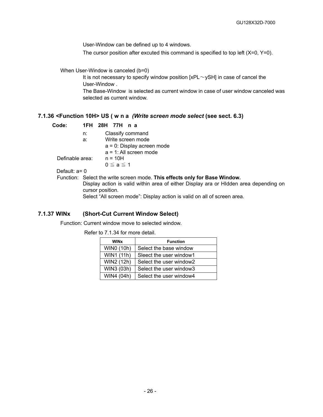User-Window can be defined up to 4 windows.

The cursor position after excuted this command is specified to top left  $(X=0, Y=0)$ .

When User-Window is canceled (b=0)

It is not necessary to specify window position  $[xPL \sim ySH]$  in case of cancel the User-Window .

The Base-Window is selected as current window in case of user window canceled was selected as current window.

# <span id="page-26-0"></span>**7.1.36 <Function 10H> US ( w n a** *(Write screen mode select* **(see sect. 6.3)**

| Code:           |                         | 1FH 28H 77H n a                                                            |  |  |
|-----------------|-------------------------|----------------------------------------------------------------------------|--|--|
|                 | n:                      | Classify command                                                           |  |  |
|                 | Write screen mode<br>a: |                                                                            |  |  |
|                 |                         | $a = 0$ : Display acreen mode                                              |  |  |
|                 |                         | $a = 1$ : All screen mode                                                  |  |  |
| Definable area: |                         | $n = 10H$                                                                  |  |  |
|                 |                         | $0 \le a \le 1$                                                            |  |  |
| Default: $a=0$  |                         |                                                                            |  |  |
|                 |                         | Function: Select the write screen mode. This effects only for Base Window. |  |  |

Display action is valid within area of either Display ara or HIdden area depending on cursor position.

Select "All screen mode": Display action is valid on all of screen area.

#### **7.1.37 WINx (Short-Cut Current Window Select)**

<span id="page-26-1"></span>Function: Current window move to selected window.

Refer to 7.1.34 for more detail.

| <b>WINx</b> | <b>Function</b>         |
|-------------|-------------------------|
| WIN0 (10h)  | Select the base window  |
| WIN1 (11h)  | Sleect the user window1 |
| WIN2 (12h)  | Select the user window2 |
| WIN3 (03h)  | Select the user window3 |
| WIN4 (04h)  | Select the user window4 |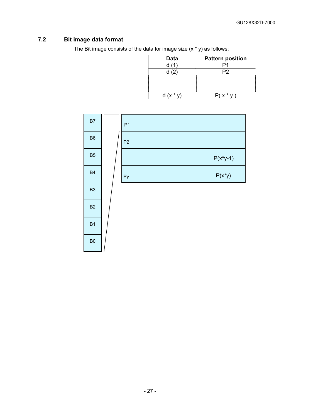# **7.2 Bit image data format**

<span id="page-27-0"></span>The Bit image consists of the data for image size  $(x * y)$  as follows;

| Data   | <b>Pattern position</b> |
|--------|-------------------------|
| d(1)   |                         |
| d (2)  | P <sub>2</sub>          |
|        |                         |
|        |                         |
|        |                         |
| $(y^*$ | $x^*$                   |

| B7             | P <sub>1</sub> |             |  |
|----------------|----------------|-------------|--|
| B <sub>6</sub> | P <sub>2</sub> |             |  |
| B <sub>5</sub> |                | $P(x^*y-1)$ |  |
| <b>B4</b>      | ${\sf Py}$     | $P(x^*y)$   |  |
| B <sub>3</sub> |                |             |  |
| B <sub>2</sub> |                |             |  |
| <b>B1</b>      |                |             |  |
| B <sub>0</sub> |                |             |  |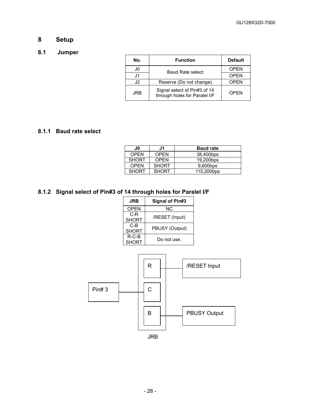# <span id="page-28-0"></span>**8 Setup**

# <span id="page-28-1"></span>**8.1 Jumper**

| No. | <b>Function</b>                                               | <b>Default</b> |
|-----|---------------------------------------------------------------|----------------|
| J0  | <b>Baud Rate select</b>                                       | <b>OPEN</b>    |
| J1  |                                                               | <b>OPEN</b>    |
| .I2 | Reserve (Do not change)                                       | <b>OPEN</b>    |
| JRB | Signal select of Pin#3 of 14<br>through holes for Paralel I/F | OPFN           |

# <span id="page-28-2"></span>**8.1.1 Baud rate select**

| J0.          | J1           | <b>Baud rate</b> |
|--------------|--------------|------------------|
| <b>OPEN</b>  | <b>OPEN</b>  | 38,400bps        |
| <b>SHORT</b> | <b>OPEN</b>  | 19,200bps        |
| <b>OPFN</b>  | <b>SHORT</b> | 9,600bps         |
| <b>SHORT</b> | <b>SHORT</b> | 115,200bps       |

# <span id="page-28-3"></span>**8.1.2 Signal select of Pin#3 of 14 through holes for Paralel I/F**

| <b>JRB</b>               | <b>Signal of Pin#3</b> |
|--------------------------|------------------------|
| <b>OPEN</b>              | ΝC                     |
| C-R<br><b>SHORT</b>      | /RESET (Input)         |
| C-B<br><b>SHORT</b>      | PBUSY (Output)         |
| $R$ -C-B<br><b>SHORT</b> | Do not use.            |

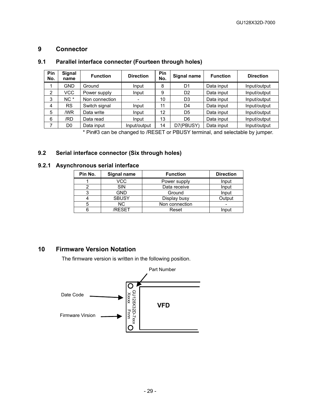# <span id="page-29-0"></span>**9 Connector**

# **9.1 Parallel interface connecter (Fourteen through holes)**

<span id="page-29-1"></span>

| Pin<br>No. | <b>Signal</b><br>name | <b>Function</b> | <b>Direction</b> | Pin<br>No. | Signal name    | <b>Function</b> | <b>Direction</b> |
|------------|-----------------------|-----------------|------------------|------------|----------------|-----------------|------------------|
|            | GND                   | Ground          | Input            | 8          | D1             | Data input      | Input/output     |
| 2          | VCC.                  | Power supply    | Input            | 9          | D <sub>2</sub> | Data input      | Input/output     |
| 3          | $NC^*$                | Non connection  |                  | 10         | D <sub>3</sub> | Data input      | Input/output     |
| 4          | <b>RS</b>             | Switch signal   | Input            | 11         | D <sub>4</sub> | Data input      | Input/output     |
| 5          | /WR                   | Data write      | Input            | 12         | D5             | Data input      | Input/output     |
| 6          | /RD                   | Data read       | Input            | 13         | D6             | Data input      | Input/output     |
|            | D <sub>0</sub>        | Data input      | Input/output     | 14         | D7(PBUSY)      | Data input      | Input/output     |

\* Pin#3 can be changed to /RESET or PBUSY terminal, and selectable by jumper.

# <span id="page-29-2"></span>**9.2 Serial interface connector (Six through holes)**

# <span id="page-29-3"></span>**9.2.1 Asynchronous serial interface**

| Pin No. | Signal name  | <b>Function</b> | <b>Direction</b> |
|---------|--------------|-----------------|------------------|
|         | VCC          | Power supply    | Input            |
|         | <b>SIN</b>   | Data receive    | Input            |
|         | <b>GND</b>   | Ground          | Input            |
|         | <b>SBUSY</b> | Display busy    | Output           |
|         | NC.          | Non connection  |                  |
|         | /RFSFT       | Reset           | Input            |

# **10 Firmware Version Notation**

<span id="page-29-4"></span>The firmware version is written in the following position.

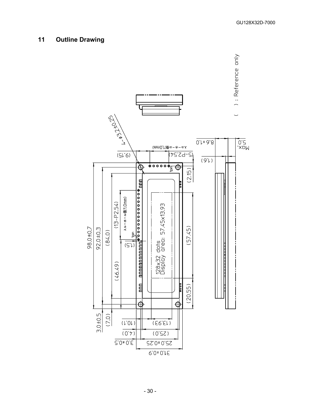# <span id="page-30-0"></span>**11 Outline Drawing**

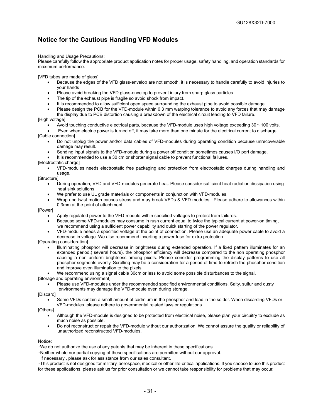# <span id="page-31-0"></span>**Notice for the Cautious Handling VFD Modules**

#### Handling and Usage Precautions:

Please carefully follow the appropriate product application notes for proper usage, safety handling, and operation standards for maximum performance.

[VFD tubes are made of glass]

- Because the edges of the VFD glass-envelop are not smooth, it is necessary to handle carefully to avoid injuries to your hands
- Please avoid breaking the VFD glass-envelop to prevent injury from sharp glass particles.
- The tip of the exhaust pipe is fragile so avoid shock from impact.
- It is recommended to allow sufficient open space surrounding the exhaust pipe to avoid possible damage.
- Please design the PCB for the VFD-module within 0.3 mm warping tolerance to avoid any forces that may damage the display due to PCB distortion causing a breakdown of the electrical circuit leading to VFD failure.
- [High voltage]
	- Avoid touching conductive electrical parts, because the VFD-module uses high voltage exceeding 30~100 volts.
	- Even when electric power is turned off, it may take more than one minute for the electrical current to discharge.
- [Cable connection]
	- Do not unplug the power and/or data cables of VFD-modules during operating condition because unrecoverable damage may result.
	- Sending input signals to the VFD-module during a power off condition sometimes causes I/O port damage.
	- It is recommended to use a 30 cm or shorter signal cable to prevent functional failures.

[Electrostatic charge]

• VFD-modules needs electrostatic free packaging and protection from electrostatic charges during handling and usage.

[Structure]

- During operation, VFD and VFD-modules generate heat. Please consider sufficient heat radiation dissipation using heat sink solutions.
- We prefer to use UL grade materials or components in conjunction with VFD-modules.
- Wrap and twist motion causes stress and may break VFDs & VFD modules. Please adhere to allowances within 0.3mm at the point of attachment.

[Power]

- Apply regulated power to the VFD-module within specified voltages to protect from failures.
- Because some VFD-modules may consume in rush current equal to twice the typical current at power-on timing, we recommend using a sufficient power capability and quick starting of the power regulator.
- VFD-module needs a specified voltage at the point of connection. Please use an adequate power cable to avoid a decrease in voltage. We also recommend inserting a power fuse for extra protection.

[Operating consideration]

- Illuminating phosphor will decrease in brightness during extended operation. If a fixed pattern illuminates for an extended period,( several hours), the phosphor efficiency will decrease compared to the non operating phosphor causing a non uniform brightness among pixels. Please consider programming the display patterns to use all phosphor segments evenly. Scrolling may be a consideration for a period of time to refresh the phosphor condition and improve even illumination to the pixels.
- We recommend using a signal cable 30cm or less to avoid some possible disturbances to the signal.

[Storage and operating environment]

• Please use VFD-modules under the recommended specified environmental conditions. Salty, sulfur and dusty environments may damage the VFD-module even during storage.

[Discard]

• Some VFDs contain a small amount of cadmium in the phosphor and lead in the solder. When discarding VFDs or VFD-modules, please adhere to governmental related laws or regulations.

[Others]

- Although the VFD-module is designed to be protected from electrical noise, please plan your circuitry to exclude as much noise as possible.
- Do not reconstruct or repair the VFD-module without our authorization. We cannot assure the quality or reliability of unauthorized reconstructed VFD-modules.

Notice:

・We do not authorize the use of any patents that may be inherent in these specifications.

・Neither whole nor partial copying of these specifications are permitted without our approval.

If necessary , please ask for assistance from our sales consultant.

・This product is not designed for military, aerospace, medical or other life-critical applications. If you choose to use this product for these applications, please ask us for prior consultation or we cannot take responsibility for problems that may occur.